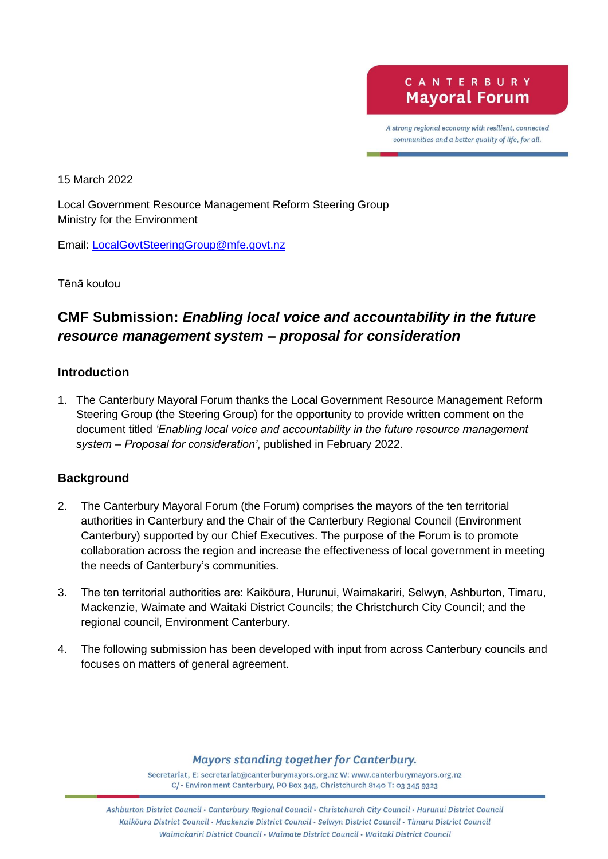A strong regional economy with resilient, connected communities and a better quality of life, for all.

15 March 2022

Local Government Resource Management Reform Steering Group Ministry for the Environment

Email: [LocalGovtSteeringGroup@mfe.govt.nz](mailto:LocalGovtSteeringGroup@mfe.govt.nz)

Tēnā koutou

# **CMF Submission:** *Enabling local voice and accountability in the future resource management system – proposal for consideration*

#### **Introduction**

1. The Canterbury Mayoral Forum thanks the Local Government Resource Management Reform Steering Group (the Steering Group) for the opportunity to provide written comment on the document titled *'Enabling local voice and accountability in the future resource management system – Proposal for consideration'*, published in February 2022.

#### **Background**

- 2. The Canterbury Mayoral Forum (the Forum) comprises the mayors of the ten territorial authorities in Canterbury and the Chair of the Canterbury Regional Council (Environment Canterbury) supported by our Chief Executives. The purpose of the Forum is to promote collaboration across the region and increase the effectiveness of local government in meeting the needs of Canterbury's communities.
- 3. The ten territorial authorities are: Kaikōura, Hurunui, Waimakariri, Selwyn, Ashburton, Timaru, Mackenzie, Waimate and Waitaki District Councils; the Christchurch City Council; and the regional council, Environment Canterbury.
- 4. The following submission has been developed with input from across Canterbury councils and focuses on matters of general agreement.

#### **Mayors standing together for Canterbury.**

Secretariat, E: secretariat@canterburymayors.org.nz W: www.canterburymayors.org.nz C/- Environment Canterbury, PO Box 345, Christchurch 8140 T: 03 345 9323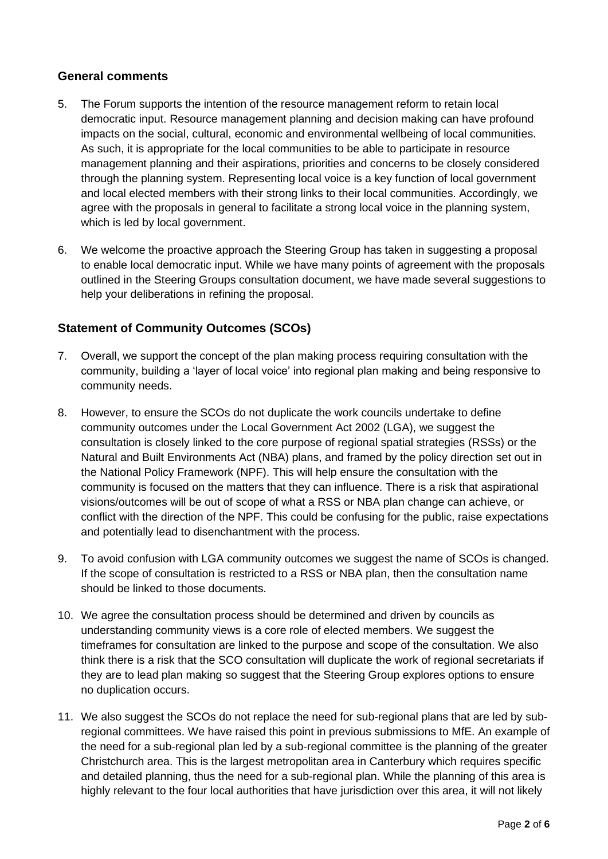# **General comments**

- 5. The Forum supports the intention of the resource management reform to retain local democratic input. Resource management planning and decision making can have profound impacts on the social, cultural, economic and environmental wellbeing of local communities. As such, it is appropriate for the local communities to be able to participate in resource management planning and their aspirations, priorities and concerns to be closely considered through the planning system. Representing local voice is a key function of local government and local elected members with their strong links to their local communities. Accordingly, we agree with the proposals in general to facilitate a strong local voice in the planning system, which is led by local government.
- 6. We welcome the proactive approach the Steering Group has taken in suggesting a proposal to enable local democratic input. While we have many points of agreement with the proposals outlined in the Steering Groups consultation document, we have made several suggestions to help your deliberations in refining the proposal.

# **Statement of Community Outcomes (SCOs)**

- 7. Overall, we support the concept of the plan making process requiring consultation with the community, building a 'layer of local voice' into regional plan making and being responsive to community needs.
- 8. However, to ensure the SCOs do not duplicate the work councils undertake to define community outcomes under the Local Government Act 2002 (LGA), we suggest the consultation is closely linked to the core purpose of regional spatial strategies (RSSs) or the Natural and Built Environments Act (NBA) plans, and framed by the policy direction set out in the National Policy Framework (NPF). This will help ensure the consultation with the community is focused on the matters that they can influence. There is a risk that aspirational visions/outcomes will be out of scope of what a RSS or NBA plan change can achieve, or conflict with the direction of the NPF. This could be confusing for the public, raise expectations and potentially lead to disenchantment with the process.
- 9. To avoid confusion with LGA community outcomes we suggest the name of SCOs is changed. If the scope of consultation is restricted to a RSS or NBA plan, then the consultation name should be linked to those documents.
- 10. We agree the consultation process should be determined and driven by councils as understanding community views is a core role of elected members. We suggest the timeframes for consultation are linked to the purpose and scope of the consultation. We also think there is a risk that the SCO consultation will duplicate the work of regional secretariats if they are to lead plan making so suggest that the Steering Group explores options to ensure no duplication occurs.
- 11. We also suggest the SCOs do not replace the need for sub-regional plans that are led by subregional committees. We have raised this point in previous submissions to MfE. An example of the need for a sub-regional plan led by a sub-regional committee is the planning of the greater Christchurch area. This is the largest metropolitan area in Canterbury which requires specific and detailed planning, thus the need for a sub-regional plan. While the planning of this area is highly relevant to the four local authorities that have jurisdiction over this area, it will not likely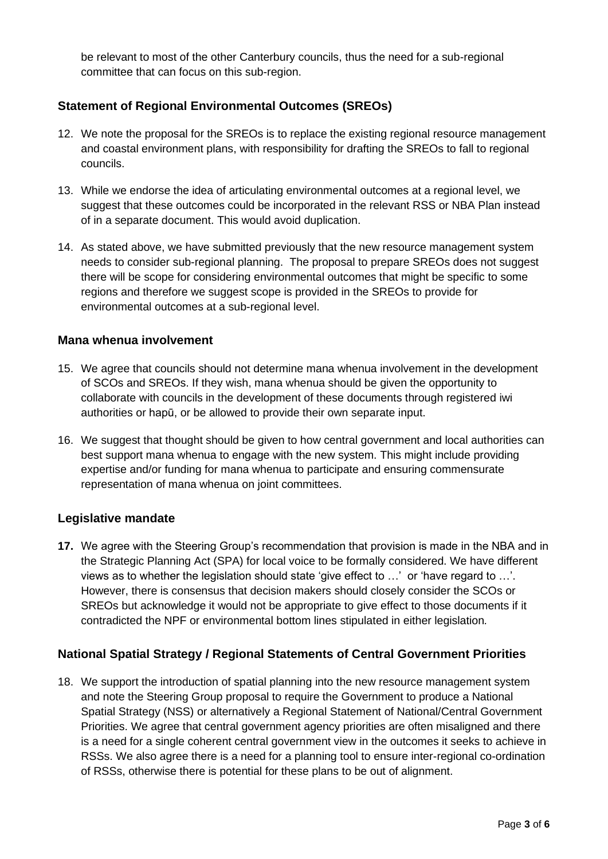be relevant to most of the other Canterbury councils, thus the need for a sub-regional committee that can focus on this sub-region.

# **Statement of Regional Environmental Outcomes (SREOs)**

- 12. We note the proposal for the SREOs is to replace the existing regional resource management and coastal environment plans, with responsibility for drafting the SREOs to fall to regional councils.
- 13. While we endorse the idea of articulating environmental outcomes at a regional level, we suggest that these outcomes could be incorporated in the relevant RSS or NBA Plan instead of in a separate document. This would avoid duplication.
- 14. As stated above, we have submitted previously that the new resource management system needs to consider sub-regional planning. The proposal to prepare SREOs does not suggest there will be scope for considering environmental outcomes that might be specific to some regions and therefore we suggest scope is provided in the SREOs to provide for environmental outcomes at a sub-regional level.

### **Mana whenua involvement**

- 15. We agree that councils should not determine mana whenua involvement in the development of SCOs and SREOs. If they wish, mana whenua should be given the opportunity to collaborate with councils in the development of these documents through registered iwi authorities or hapū, or be allowed to provide their own separate input.
- 16. We suggest that thought should be given to how central government and local authorities can best support mana whenua to engage with the new system. This might include providing expertise and/or funding for mana whenua to participate and ensuring commensurate representation of mana whenua on joint committees.

# **Legislative mandate**

**17.** We agree with the Steering Group's recommendation that provision is made in the NBA and in the Strategic Planning Act (SPA) for local voice to be formally considered. We have different views as to whether the legislation should state 'give effect to …' or 'have regard to …'. However, there is consensus that decision makers should closely consider the SCOs or SREOs but acknowledge it would not be appropriate to give effect to those documents if it contradicted the NPF or environmental bottom lines stipulated in either legislation*.*

# **National Spatial Strategy / Regional Statements of Central Government Priorities**

18. We support the introduction of spatial planning into the new resource management system and note the Steering Group proposal to require the Government to produce a National Spatial Strategy (NSS) or alternatively a Regional Statement of National/Central Government Priorities. We agree that central government agency priorities are often misaligned and there is a need for a single coherent central government view in the outcomes it seeks to achieve in RSSs. We also agree there is a need for a planning tool to ensure inter-regional co-ordination of RSSs, otherwise there is potential for these plans to be out of alignment.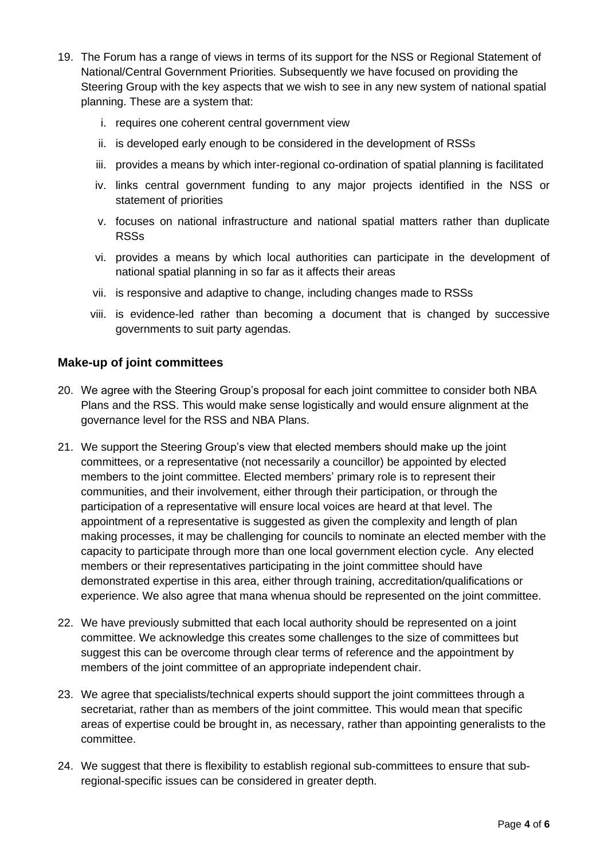- 19. The Forum has a range of views in terms of its support for the NSS or Regional Statement of National/Central Government Priorities. Subsequently we have focused on providing the Steering Group with the key aspects that we wish to see in any new system of national spatial planning. These are a system that:
	- i. requires one coherent central government view
	- ii. is developed early enough to be considered in the development of RSSs
	- iii. provides a means by which inter-regional co-ordination of spatial planning is facilitated
	- iv. links central government funding to any major projects identified in the NSS or statement of priorities
	- v. focuses on national infrastructure and national spatial matters rather than duplicate RSSs
	- vi. provides a means by which local authorities can participate in the development of national spatial planning in so far as it affects their areas
	- vii. is responsive and adaptive to change, including changes made to RSSs
	- viii. is evidence-led rather than becoming a document that is changed by successive governments to suit party agendas.

#### **Make-up of joint committees**

- 20. We agree with the Steering Group's proposal for each joint committee to consider both NBA Plans and the RSS. This would make sense logistically and would ensure alignment at the governance level for the RSS and NBA Plans.
- 21. We support the Steering Group's view that elected members should make up the joint committees, or a representative (not necessarily a councillor) be appointed by elected members to the joint committee. Elected members' primary role is to represent their communities, and their involvement, either through their participation, or through the participation of a representative will ensure local voices are heard at that level. The appointment of a representative is suggested as given the complexity and length of plan making processes, it may be challenging for councils to nominate an elected member with the capacity to participate through more than one local government election cycle. Any elected members or their representatives participating in the joint committee should have demonstrated expertise in this area, either through training, accreditation/qualifications or experience. We also agree that mana whenua should be represented on the joint committee.
- 22. We have previously submitted that each local authority should be represented on a joint committee. We acknowledge this creates some challenges to the size of committees but suggest this can be overcome through clear terms of reference and the appointment by members of the joint committee of an appropriate independent chair.
- 23. We agree that specialists/technical experts should support the joint committees through a secretariat, rather than as members of the joint committee. This would mean that specific areas of expertise could be brought in, as necessary, rather than appointing generalists to the committee.
- 24. We suggest that there is flexibility to establish regional sub-committees to ensure that subregional-specific issues can be considered in greater depth.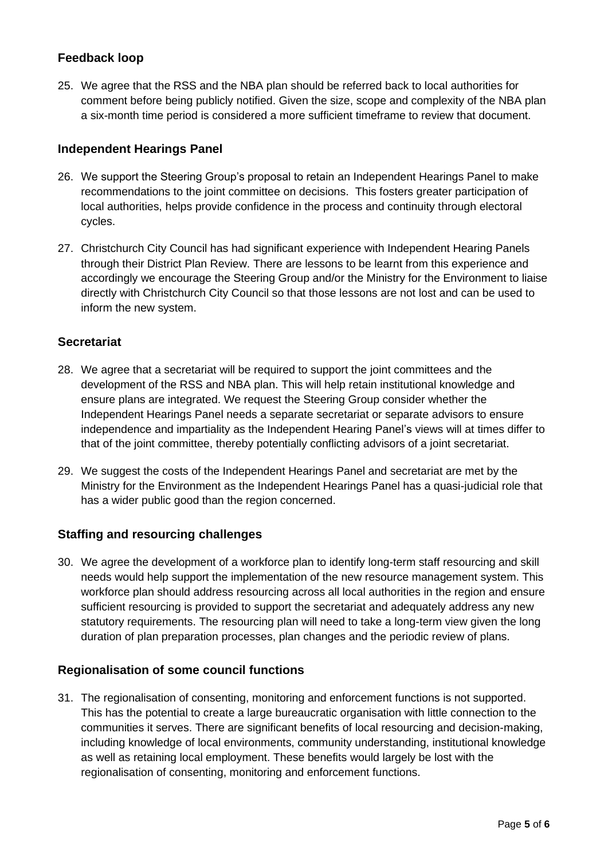# **Feedback loop**

25. We agree that the RSS and the NBA plan should be referred back to local authorities for comment before being publicly notified. Given the size, scope and complexity of the NBA plan a six-month time period is considered a more sufficient timeframe to review that document.

### **Independent Hearings Panel**

- 26. We support the Steering Group's proposal to retain an Independent Hearings Panel to make recommendations to the joint committee on decisions. This fosters greater participation of local authorities, helps provide confidence in the process and continuity through electoral cycles.
- 27. Christchurch City Council has had significant experience with Independent Hearing Panels through their District Plan Review. There are lessons to be learnt from this experience and accordingly we encourage the Steering Group and/or the Ministry for the Environment to liaise directly with Christchurch City Council so that those lessons are not lost and can be used to inform the new system.

#### **Secretariat**

- 28. We agree that a secretariat will be required to support the joint committees and the development of the RSS and NBA plan. This will help retain institutional knowledge and ensure plans are integrated. We request the Steering Group consider whether the Independent Hearings Panel needs a separate secretariat or separate advisors to ensure independence and impartiality as the Independent Hearing Panel's views will at times differ to that of the joint committee, thereby potentially conflicting advisors of a joint secretariat.
- 29. We suggest the costs of the Independent Hearings Panel and secretariat are met by the Ministry for the Environment as the Independent Hearings Panel has a quasi-judicial role that has a wider public good than the region concerned.

### **Staffing and resourcing challenges**

30. We agree the development of a workforce plan to identify long-term staff resourcing and skill needs would help support the implementation of the new resource management system. This workforce plan should address resourcing across all local authorities in the region and ensure sufficient resourcing is provided to support the secretariat and adequately address any new statutory requirements. The resourcing plan will need to take a long-term view given the long duration of plan preparation processes, plan changes and the periodic review of plans.

#### **Regionalisation of some council functions**

31. The regionalisation of consenting, monitoring and enforcement functions is not supported. This has the potential to create a large bureaucratic organisation with little connection to the communities it serves. There are significant benefits of local resourcing and decision-making, including knowledge of local environments, community understanding, institutional knowledge as well as retaining local employment. These benefits would largely be lost with the regionalisation of consenting, monitoring and enforcement functions.